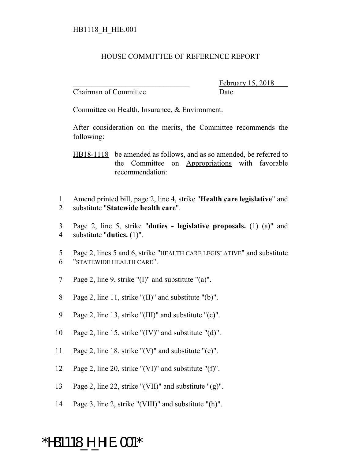## HOUSE COMMITTEE OF REFERENCE REPORT

Chairman of Committee Date

February 15, 2018

Committee on Health, Insurance, & Environment.

After consideration on the merits, the Committee recommends the following:

HB18-1118 be amended as follows, and as so amended, be referred to the Committee on Appropriations with favorable recommendation:

1 Amend printed bill, page 2, line 4, strike "**Health care legislative**" and 2 substitute "**Statewide health care**".

3 Page 2, line 5, strike "**duties - legislative proposals.** (1) (a)" and 4 substitute "**duties.** (1)".

5 Page 2, lines 5 and 6, strike "HEALTH CARE LEGISLATIVE" and substitute 6 "STATEWIDE HEALTH CARE".

7 Page 2, line 9, strike "(I)" and substitute "(a)".

8 Page 2, line 11, strike "(II)" and substitute "(b)".

9 Page 2, line 13, strike "(III)" and substitute "(c)".

10 Page 2, line 15, strike "(IV)" and substitute "(d)".

11 Page 2, line 18, strike "(V)" and substitute "(e)".

12 Page 2, line 20, strike "(VI)" and substitute "(f)".

13 Page 2, line 22, strike "(VII)" and substitute "(g)".

14 Page 3, line 2, strike "(VIII)" and substitute "(h)".

## \*HB1118\_H\_HIE.001\*